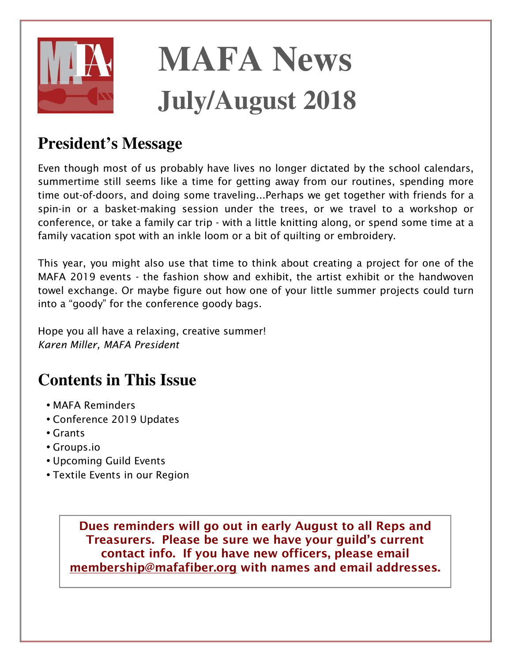

# **MAFA News July/August 2018**

# **President's Message**

*Even though most of us probably have lives no longer dictated by the school calendars, summertime still seems like a time for getting away from our routines, spending more time out-of-doors, and doing some traveling...Perhaps we get together with friends for a spin-in or a basket-making session under the trees, or we travel to a workshop or conference, or take a family car trip - with a little knitting along, or spend some time at a family vacation spot with an inkle loom or a bit of quilting or embroidery.* 

*This year, you might also use that time to think about creating a project for one of the MAFA 2019 events - the fashion show and exhibit, the artist exhibit or the handwoven towel exchange. Or maybe figure out how one of your little summer projects could turn into a "goody" for the conference goody bags.* 

*Hope you all have a relaxing, creative summer! Karen Miller, MAFA President* 

# **Contents in This Issue**

- *MAFA Reminders*
- *Conference 2019 Updates*
- *Grants*
- *Groups.io*
- *Upcoming Guild Events*
- *Textile Events in our Region*

**Dues reminders will go out in early August to all Reps and Treasurers. Please be sure we have your guild's current contact info. If you have new officers, please email membership@mafafiber.org with names and email addresses.**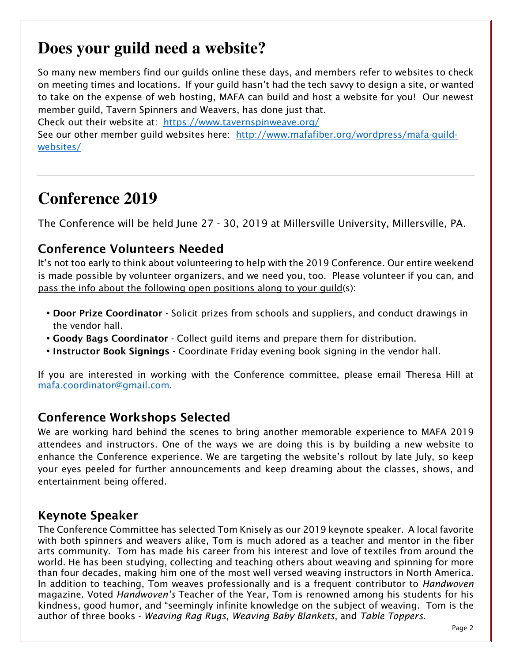## **Does your guild need a website?**

*So many new members find our guilds online these days, and members refer to websites to check on meeting times and locations. If your guild hasn't had the tech savvy to design a site, or wanted to take on the expense of web hosting, MAFA can build and host a website for you! Our newest member guild, Tavern Spinners and Weavers, has done just that.* 

*Check out their website at: https://www.tavernspinweave.org/*

*See our other member guild websites here: http://www.mafafiber.org/wordpress/mafa-guildwebsites/*

## **Conference 2019**

*The Conference will be held June 27 - 30, 2019 at Millersville University, Millersville, PA.* 

#### **Conference Volunteers Needed**

*It's not too early to think about volunteering to help with the 2019 Conference. Our entire weekend is made possible by volunteer organizers, and we need you, too. Please volunteer if you can, and pass the info about the following open positions along to your guild(s):* 

- **Door Prize Coordinator** *Solicit prizes from schools and suppliers, and conduct drawings in the vendor hall.*
- **Goody Bags Coordinator** *Collect guild items and prepare them for distribution.*
- **Instructor Book Signings** *Coordinate Friday evening book signing in the vendor hall.*

*If you are interested in working with the Conference committee, please email Theresa Hill at mafa.coordinator@gmail.com.* 

#### **Conference Workshops Selected**

*We are working hard behind the scenes to bring another memorable experience to MAFA 2019 attendees and instructors. One of the ways we are doing this is by building a new website to enhance the Conference experience. We are targeting the website's rollout by late July, so keep your eyes peeled for further announcements and keep dreaming about the classes, shows, and entertainment being offered.* 

#### **Keynote Speaker**

*The Conference Committee has selected Tom Knisely as our 2019 keynote speaker. A local favorite with both spinners and weavers alike, Tom is much adored as a teacher and mentor in the fiber arts community. Tom has made his career from his interest and love of textiles from around the world. He has been studying, collecting and teaching others about weaving and spinning for more than four decades, making him one of the most well versed weaving instructors in North America.*  In addition to teaching, Tom weaves professionally and is a frequent contributor to *Handwoven magazine. Voted Handwoven's Teacher of the Year, Tom is renowned among his students for his kindness, good humor, and "seemingly infinite knowledge on the subject of weaving. Tom is the author of three books - Weaving Rag Rugs, Weaving Baby Blankets, and Table Toppers.*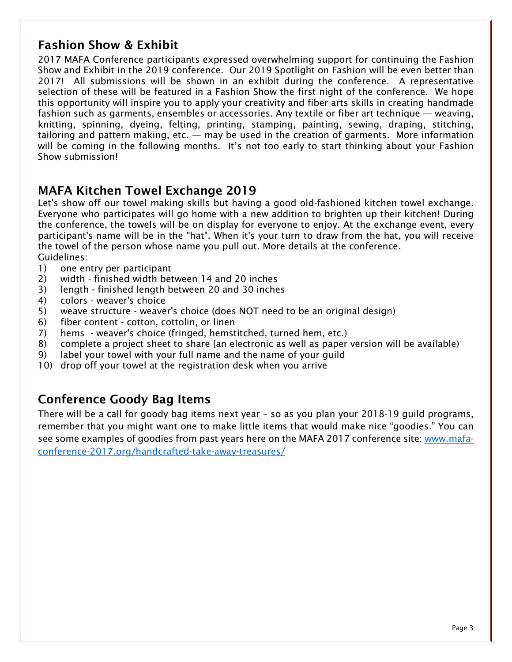#### **Fashion Show & Exhibit**

*2017 MAFA Conference participants expressed overwhelming support for continuing the Fashion Show and Exhibit in the 2019 conference. Our 2019 Spotlight on Fashion will be even better than 2017! All submissions will be shown in an exhibit during the conference. A representative selection of these will be featured in a Fashion Show the first night of the conference. We hope this opportunity will inspire you to apply your creativity and fiber arts skills in creating handmade fashion such as garments, ensembles or accessories. Any textile or fiber art technique — weaving, knitting, spinning, dyeing, felting, printing, stamping, painting, sewing, draping, stitching, tailoring and pattern making, etc. — may be used in the creation of garments. More information will be coming in the following months. It's not too early to start thinking about your Fashion Show submission!* 

#### **MAFA Kitchen Towel Exchange 2019**

Let's show off our towel making skills but having a good old-fashioned kitchen towel exchange. *Everyone who participates will go home with a new addition to brighten up their kitchen! During the conference, the towels will be on display for everyone to enjoy. At the exchange event, every participant's name will be in the "hat". When it's your turn to draw from the hat, you will receive the towel of the person whose name you pull out. More details at the conference. Guidelines:* 

- *1) one entry per participant*
- *2) width finished width between 14 and 20 inches*
- *3) length finished length between 20 and 30 inches*
- *4) colors weaver's choice*
- *5) weave structure weaver's choice (does NOT need to be an original design)*
- *6) fiber content cotton, cottolin, or linen*
- *7) hems weaver's choice (fringed, hemstitched, turned hem, etc.)*
- *8) complete a project sheet to share [an electronic as well as paper version will be available)*
- *9) label your towel with your full name and the name of your guild*
- 10) drop off your towel at the registration desk when you arrive

#### **Conference Goody Bag Items**

*There will be a call for goody bag items next year – so as you plan your 2018-19 guild programs, remember that you might want one to make little items that would make nice "goodies." You can see some examples of goodies from past years here on the MAFA 2017 conference site: www.mafaconference-2017.org/handcrafted-take-away-treasures/*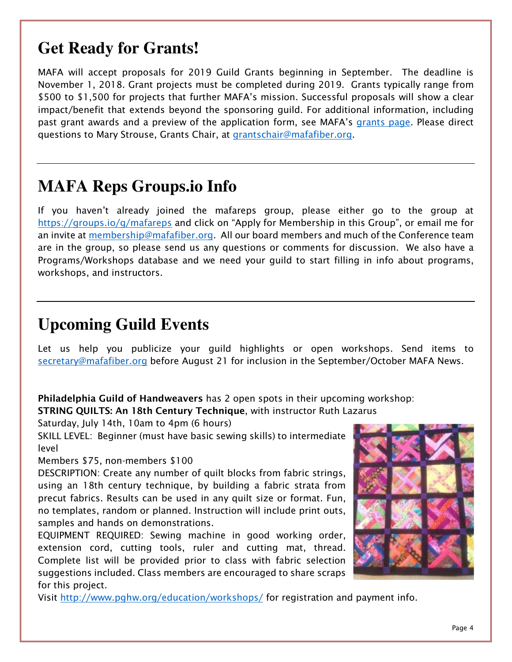## **Get Ready for Grants!**

*MAFA will accept proposals for 2019 Guild Grants beginning in September. The deadline is November 1, 2018. Grant projects must be completed during 2019. Grants typically range from \$500 to \$1,500 for projects that further MAFA's mission. Successful proposals will show a clear impact/benefit that extends beyond the sponsoring guild. For additional information, including* past grant awards and a preview of the application form, see MAFA's grants page. Please direct *questions to Mary Strouse, Grants Chair, at grantschair@mafafiber.org.* 

## **MAFA Reps Groups.io Info**

*If you haven't already joined the mafareps group, please either go to the group at https://groups.io/g/mafareps and click on "Apply for Membership in this Group", or email me for an invite at membership@mafafiber.org. All our board members and much of the Conference team are in the group, so please send us any questions or comments for discussion. We also have a Programs/Workshops database and we need your guild to start filling in info about programs, workshops, and instructors.* 

## **Upcoming Guild Events**

Let us help you publicize your guild highlights or open workshops. Send items to *secretary@mafafiber.org before August 21 for inclusion in the September/October MAFA News.* 

**Philadelphia Guild of Handweavers** *has 2 open spots in their upcoming workshop:* 

**STRING QUILTS: An 18th Century Technique***, with instructor Ruth Lazarus* 

*Saturday, July 14th, 10am to 4pm (6 hours)* 

*SKILL LEVEL: Beginner (must have basic sewing skills) to intermediate level* 

*Members \$75, non-members \$100* 

*DESCRIPTION: Create any number of quilt blocks from fabric strings, using an 18th century technique, by building a fabric strata from precut fabrics. Results can be used in any quilt size or format. Fun, no templates, random or planned. Instruction will include print outs, samples and hands on demonstrations.* 

*EQUIPMENT REQUIRED: Sewing machine in good working order, extension cord, cutting tools, ruler and cutting mat, thread. Complete list will be provided prior to class with fabric selection suggestions included. Class members are encouraged to share scraps for this project.* 



*Visit http://www.pghw.org/education/workshops/ for registration and payment info.*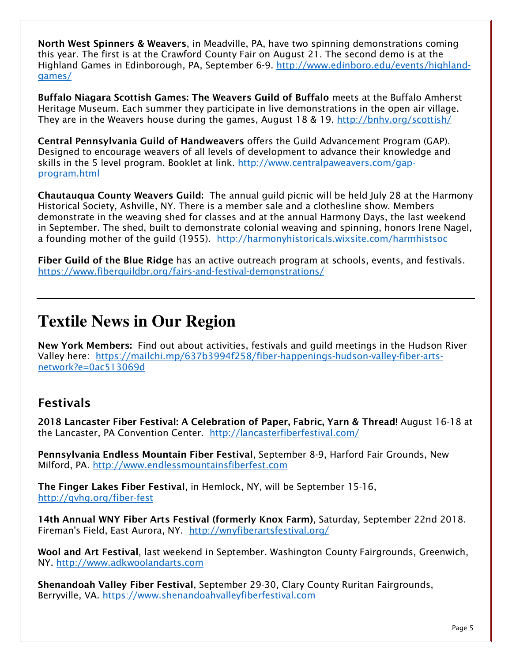**North West Spinners & Weavers***, in Meadville, PA, have two spinning demonstrations coming this year. The first is at the Crawford County Fair on August 21. The second demo is at the Highland Games in Edinborough, PA, September 6-9. http://www.edinboro.edu/events/highlandgames/*

**Buffalo Niagara Scottish Games: The Weavers Guild of Buffalo** *meets at the Buffalo Amherst Heritage Museum. Each summer they participate in live demonstrations in the open air village. They are in the Weavers house during the games, August 18 & 19. http://bnhv.org/scottish/*

**Central Pennsylvania Guild of Handweavers** *offers the Guild Advancement Program (GAP). Designed to encourage weavers of all levels of development to advance their knowledge and skills in the 5 level program. Booklet at link. http://www.centralpaweavers.com/gapprogram.html*

**Chautauqua County Weavers Guild:** *The annual guild picnic will be held July 28 at the Harmony Historical Society, Ashville, NY. There is a member sale and a clothesline show. Members demonstrate in the weaving shed for classes and at the annual Harmony Days, the last weekend in September. The shed, built to demonstrate colonial weaving and spinning, honors Irene Nagel, a founding mother of the guild (1955). http://harmonyhistoricals.wixsite.com/harmhistsoc*

**Fiber Guild of the Blue Ridge** *has an active outreach program at schools, events, and festivals. https://www.fiberguildbr.org/fairs-and-festival-demonstrations/*

## **Textile News in Our Region**

**New York Members:** *Find out about activities, festivals and guild meetings in the Hudson River Valley here: https://mailchi.mp/637b3994f258/fiber-happenings-hudson-valley-fiber-artsnetwork?e=0ac513069d*

#### **Festivals**

**2018 Lancaster Fiber Festival: A Celebration of Paper, Fabric, Yarn & Thread!** *August 16-18 at the Lancaster, PA Convention Center. http://lancasterfiberfestival.com/*

**Pennsylvania Endless Mountain Fiber Festival***, September 8-9, Harford Fair Grounds, New Milford, PA. http://www.endlessmountainsfiberfest.com*

**The Finger Lakes Fiber Festival***, in Hemlock, NY, will be September 15-16, http://gvhg.org/fiber-fest*

**14th Annual WNY Fiber Arts Festival (formerly Knox Farm)***, Saturday, September 22nd 2018. Fireman's Field, East Aurora, NY. http://wnyfiberartsfestival.org/*

**Wool and Art Festival***, last weekend in September. Washington County Fairgrounds, Greenwich, NY. http://www.adkwoolandarts.com*

**Shenandoah Valley Fiber Festival***, September 29-30, Clary County Ruritan Fairgrounds, Berryville, VA. https://www.shenandoahvalleyfiberfestival.com*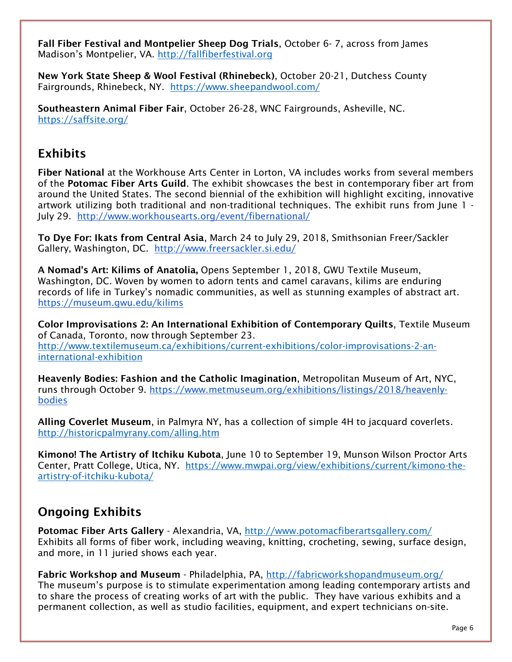**Fall Fiber Festival and Montpelier Sheep Dog Trials***, October 6- 7, across from James Madison's Montpelier, VA. http://fallfiberfestival.org*

**New York State Sheep & Wool Festival (Rhinebeck)***, October 20-21, Dutchess County Fairgrounds, Rhinebeck, NY. https://www.sheepandwool.com/*

**Southeastern Animal Fiber Fair***, October 26-28, WNC Fairgrounds, Asheville, NC. https://saffsite.org/*

#### **Exhibits**

**Fiber National** *at the Workhouse Arts Center in Lorton, VA includes works from several members of the* **Potomac Fiber Arts Guild***. The exhibit showcases the best in contemporary fiber art from around the United States. The second biennial of the exhibition will highlight exciting, innovative artwork utilizing both traditional and non-traditional techniques. The exhibit runs from June 1 - July 29. http://www.workhousearts.org/event/fibernational/*

**To Dye For: Ikats from Central Asia***, March 24 to July 29, 2018, Smithsonian Freer/Sackler Gallery, Washington, DC. http://www.freersackler.si.edu/*

**A Nomad's Art: Kilims of Anatolia,** *Opens September 1, 2018, GWU Textile Museum, Washington, DC. Woven by women to adorn tents and camel caravans, kilims are enduring records of life in Turkey's nomadic communities, as well as stunning examples of abstract art. https://museum.gwu.edu/kilims*

**Color Improvisations 2: An International Exhibition of Contemporary Quilts***, Textile Museum of Canada, Toronto, now through September 23. http://www.textilemuseum.ca/exhibitions/current-exhibitions/color-improvisations-2-aninternational-exhibition* 

**Heavenly Bodies: Fashion and the Catholic Imagination***, Metropolitan Museum of Art, NYC, runs through October 9. https://www.metmuseum.org/exhibitions/listings/2018/heavenlybodies*

**Alling Coverlet Museum***, in Palmyra NY, has a collection of simple 4H to jacquard coverlets. http://historicpalmyrany.com/alling.htm*

**Kimono! The Artistry of Itchiku Kubota***, June 10 to September 19, Munson Wilson Proctor Arts Center, Pratt College, Utica, NY. https://www.mwpai.org/view/exhibitions/current/kimono-theartistry-of-itchiku-kubota/*

#### **Ongoing Exhibits**

**Potomac Fiber Arts Gallery** *- Alexandria, VA, http://www.potomacfiberartsgallery.com/ Exhibits all forms of fiber work, including weaving, knitting, crocheting, sewing, surface design, and more, in 11 juried shows each year.* 

**Fabric Workshop and Museum** *- Philadelphia, PA, http://fabricworkshopandmuseum.org/ The museum's purpose is to stimulate experimentation among leading contemporary artists and to share the process of creating works of art with the public. They have various exhibits and a permanent collection, as well as studio facilities, equipment, and expert technicians on-site.*